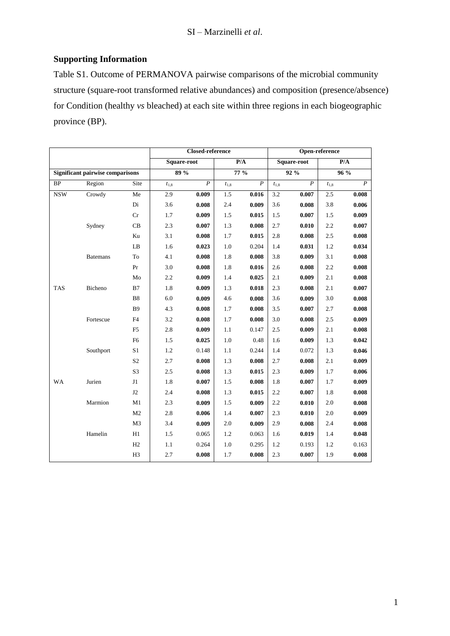## **Supporting Information**

Table S1. Outcome of PERMANOVA pairwise comparisons of the microbial community structure (square-root transformed relative abundances) and composition (presence/absence) for Condition (healthy *vs* bleached) at each site within three regions in each biogeographic province (BP).

|                                         |                 |                |             | <b>Closed-reference</b> |           | Open-reference   |             |                  |           |                  |
|-----------------------------------------|-----------------|----------------|-------------|-------------------------|-----------|------------------|-------------|------------------|-----------|------------------|
|                                         |                 |                | Square-root |                         | P/A       |                  | Square-root |                  | P/A       |                  |
| <b>Significant pairwise comparisons</b> |                 |                | 89%         |                         | $77\%$    |                  | 92%         |                  | 96%       |                  |
| <b>BP</b>                               | Region          | Site           | $t_{1,8}$   | $\boldsymbol{P}$        | $t_{1,8}$ | $\boldsymbol{P}$ | $t_{1,8}$   | $\boldsymbol{P}$ | $t_{1,8}$ | $\boldsymbol{P}$ |
| <b>NSW</b>                              | Crowdy          | Me             | 2.9         | 0.009                   | 1.5       | 0.016            | 3.2         | 0.007            | 2.5       | 0.008            |
|                                         |                 | Di             | 3.6         | 0.008                   | 2.4       | 0.009            | 3.6         | 0.008            | 3.8       | 0.006            |
|                                         |                 | $\rm Cr$       | 1.7         | 0.009                   | 1.5       | 0.015            | 1.5         | 0.007            | 1.5       | 0.009            |
|                                         | Sydney          | CB             | 2.3         | 0.007                   | 1.3       | 0.008            | 2.7         | 0.010            | 2.2       | 0.007            |
|                                         |                 | Ku             | 3.1         | 0.008                   | 1.7       | 0.015            | 2.8         | 0.008            | 2.5       | 0.008            |
|                                         |                 | $\rm LB$       | 1.6         | 0.023                   | 1.0       | 0.204            | 1.4         | 0.031            | 1.2       | 0.034            |
|                                         | <b>Batemans</b> | To             | 4.1         | 0.008                   | 1.8       | 0.008            | 3.8         | 0.009            | 3.1       | 0.008            |
|                                         |                 | Pr             | 3.0         | 0.008                   | 1.8       | 0.016            | 2.6         | 0.008            | 2.2       | 0.008            |
|                                         |                 | Mo             | 2.2         | 0.009                   | 1.4       | 0.025            | 2.1         | 0.009            | 2.1       | 0.008            |
| <b>TAS</b>                              | Bicheno         | B7             | $1.8\,$     | 0.009                   | 1.3       | 0.018            | 2.3         | 0.008            | 2.1       | 0.007            |
|                                         |                 | <b>B8</b>      | 6.0         | 0.009                   | 4.6       | 0.008            | 3.6         | 0.009            | 3.0       | 0.008            |
|                                         |                 | <b>B9</b>      | 4.3         | 0.008                   | 1.7       | 0.008            | 3.5         | 0.007            | 2.7       | 0.008            |
|                                         | Fortescue       | F4             | 3.2         | 0.008                   | 1.7       | 0.008            | $3.0\,$     | 0.008            | $2.5\,$   | 0.009            |
|                                         |                 | F <sub>5</sub> | $2.8\,$     | 0.009                   | 1.1       | 0.147            | 2.5         | 0.009            | 2.1       | 0.008            |
|                                         |                 | F <sub>6</sub> | 1.5         | 0.025                   | $1.0\,$   | 0.48             | 1.6         | 0.009            | 1.3       | 0.042            |
|                                         | Southport       | S1             | 1.2         | 0.148                   | 1.1       | 0.244            | 1.4         | 0.072            | 1.3       | 0.046            |
|                                         |                 | S <sub>2</sub> | 2.7         | 0.008                   | 1.3       | 0.008            | 2.7         | 0.008            | 2.1       | 0.009            |
|                                         |                 | S3             | 2.5         | 0.008                   | 1.3       | 0.015            | 2.3         | 0.009            | 1.7       | 0.006            |
| WA                                      | Jurien          | J1             | 1.8         | 0.007                   | 1.5       | 0.008            | 1.8         | 0.007            | 1.7       | 0.009            |
|                                         |                 | J2             | 2.4         | 0.008                   | 1.3       | 0.015            | 2.2         | 0.007            | 1.8       | 0.008            |
|                                         | Marmion         | M1             | 2.3         | 0.009                   | 1.5       | 0.009            | 2.2         | 0.010            | $2.0\,$   | 0.008            |
|                                         |                 | M2             | 2.8         | 0.006                   | 1.4       | 0.007            | 2.3         | 0.010            | 2.0       | 0.009            |
|                                         |                 | M <sub>3</sub> | 3.4         | 0.009                   | 2.0       | 0.009            | 2.9         | 0.008            | 2.4       | 0.008            |
|                                         | Hamelin         | H1             | 1.5         | 0.065                   | 1.2       | 0.063            | 1.6         | 0.019            | 1.4       | 0.048            |
|                                         |                 | H2             | 1.1         | 0.264                   | 1.0       | 0.295            | 1.2         | 0.193            | 1.2       | 0.163            |
|                                         |                 | H <sub>3</sub> | 2.7         | 0.008                   | 1.7       | 0.008            | 2.3         | 0.007            | 1.9       | 0.008            |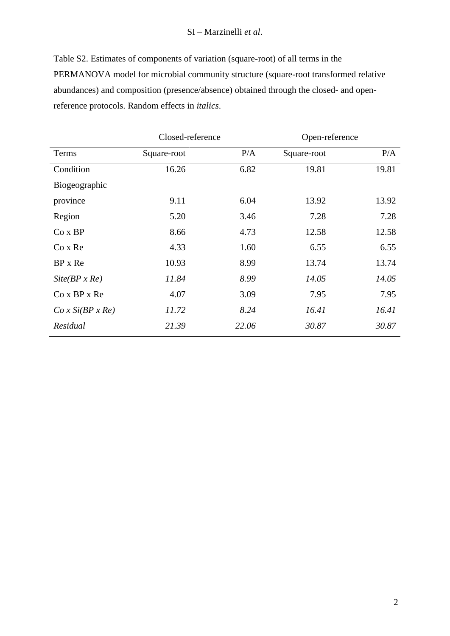## SI – Marzinelli *et al*.

Table S2. Estimates of components of variation (square-root) of all terms in the PERMANOVA model for microbial community structure (square-root transformed relative abundances) and composition (presence/absence) obtained through the closed- and openreference protocols. Random effects in *italics*.

|                      | Closed-reference |       | Open-reference |       |
|----------------------|------------------|-------|----------------|-------|
| Terms                | Square-root      | P/A   | Square-root    | P/A   |
| Condition            | 16.26            | 6.82  | 19.81          | 19.81 |
| Biogeographic        |                  |       |                |       |
| province             | 9.11             | 6.04  | 13.92          | 13.92 |
| Region               | 5.20             | 3.46  | 7.28           | 7.28  |
| $Co$ x $BP$          | 8.66             | 4.73  | 12.58          | 12.58 |
| Co x Re              | 4.33             | 1.60  | 6.55           | 6.55  |
| BP x Re              | 10.93            | 8.99  | 13.74          | 13.74 |
| $Site(BP \times Re)$ | 11.84            | 8.99  | 14.05          | 14.05 |
| $Co$ x $BP$ x $Re$   | 4.07             | 3.09  | 7.95           | 7.95  |
| Co x Si(BP x Re)     | 11.72            | 8.24  | 16.41          | 16.41 |
| Residual             | 21.39            | 22.06 | 30.87          | 30.87 |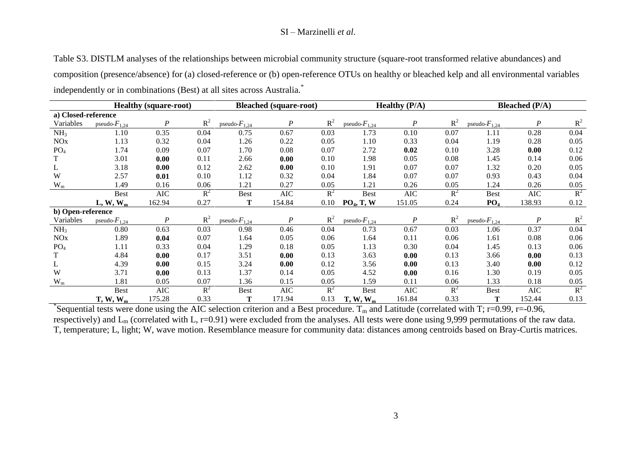## SI – Marzinelli *et al*.

| Table S3. DISTLM analyses of the relationships between microbial community structure (square-root transformed relative abundances) and         |
|------------------------------------------------------------------------------------------------------------------------------------------------|
| composition (presence/absence) for (a) closed-reference or (b) open-reference OTUs on healthy or bleached kelp and all environmental variables |
| independently or in combinations (Best) at all sites across Australia. <sup>*</sup>                                                            |

|                         | <b>Healthy (square-root)</b> |                  |       | <b>Bleached</b> (square-root) |                  |       | <b>Healthy <math>(P/A)</math></b> |                  |       | Bleached $(P/A)$   |            |       |
|-------------------------|------------------------------|------------------|-------|-------------------------------|------------------|-------|-----------------------------------|------------------|-------|--------------------|------------|-------|
| a) Closed-reference     |                              |                  |       |                               |                  |       |                                   |                  |       |                    |            |       |
| Variables               | pseudo- $F_{1,24}$           | $\boldsymbol{P}$ | $R^2$ | pseudo- $F_{1,24}$            | P                | $R^2$ | pseudo- $F_{1,24}$                | P                | $R^2$ | pseudo- $F_{1,24}$ | P          | $R^2$ |
| NH <sub>3</sub>         | 1.10                         | 0.35             | 0.04  | 0.75                          | 0.67             | 0.03  | 1.73                              | 0.10             | 0.07  | 1.11               | 0.28       | 0.04  |
| <b>NO</b> x             | 1.13                         | 0.32             | 0.04  | 1.26                          | 0.22             | 0.05  | 1.10                              | 0.33             | 0.04  | 1.19               | 0.28       | 0.05  |
| PO <sub>4</sub>         | 1.74                         | 0.09             | 0.07  | 1.70                          | 0.08             | 0.07  | 2.72                              | 0.02             | 0.10  | 3.28               | 0.00       | 0.12  |
|                         | 3.01                         | 0.00             | 0.11  | 2.66                          | 0.00             | 0.10  | 1.98                              | 0.05             | 0.08  | 1.45               | 0.14       | 0.06  |
| L                       | 3.18                         | 0.00             | 0.12  | 2.62                          | 0.00             | 0.10  | 1.91                              | 0.07             | 0.07  | 1.32               | 0.20       | 0.05  |
| W                       | 2.57                         | 0.01             | 0.10  | 1.12                          | 0.32             | 0.04  | 1.84                              | 0.07             | 0.07  | 0.93               | 0.43       | 0.04  |
| $\mathbf{W}_{\text{m}}$ | 1.49                         | 0.16             | 0.06  | 1.21                          | 0.27             | 0.05  | 1.21                              | 0.26             | 0.05  | 1.24               | 0.26       | 0.05  |
|                         | <b>Best</b>                  | <b>AIC</b>       | $R^2$ | <b>Best</b>                   | <b>AIC</b>       | $R^2$ | <b>Best</b>                       | <b>AIC</b>       | $R^2$ | <b>Best</b>        | <b>AIC</b> | $R^2$ |
|                         | $L, W, W_m$                  | 162.94           | 0.27  | Т                             | 154.84           | 0.10  | PO <sub>4</sub> , T, W            | 151.05           | 0.24  | PO <sub>4</sub>    | 138.93     | 0.12  |
| b) Open-reference       |                              |                  |       |                               |                  |       |                                   |                  |       |                    |            |       |
| Variables               | pseudo- $F_{1,24}$           | $\boldsymbol{P}$ | $R^2$ | pseudo- $F_{1,24}$            | $\boldsymbol{P}$ | $R^2$ | pseudo- $F_{1,24}$                | $\boldsymbol{P}$ | $R^2$ | pseudo- $F_{1,24}$ | P          | $R^2$ |
| NH <sub>3</sub>         | 0.80                         | 0.63             | 0.03  | 0.98                          | 0.46             | 0.04  | 0.73                              | 0.67             | 0.03  | 1.06               | 0.37       | 0.04  |
| <b>NO</b> x             | 1.89                         | 0.04             | 0.07  | 1.64                          | 0.05             | 0.06  | 1.64                              | 0.11             | 0.06  | 1.61               | 0.08       | 0.06  |
| PO <sub>4</sub>         | 1.11                         | 0.33             | 0.04  | 1.29                          | 0.18             | 0.05  | 1.13                              | 0.30             | 0.04  | 1.45               | 0.13       | 0.06  |
|                         | 4.84                         | 0.00             | 0.17  | 3.51                          | 0.00             | 0.13  | 3.63                              | 0.00             | 0.13  | 3.66               | 0.00       | 0.13  |
| L                       | 4.39                         | 0.00             | 0.15  | 3.24                          | 0.00             | 0.12  | 3.56                              | 0.00             | 0.13  | 3.40               | 0.00       | 0.12  |
| W                       | 3.71                         | 0.00             | 0.13  | 1.37                          | 0.14             | 0.05  | 4.52                              | 0.00             | 0.16  | 1.30               | 0.19       | 0.05  |
| $W_m$                   | 1.81                         | 0.05             | 0.07  | 1.36                          | 0.15             | 0.05  | 1.59                              | 0.11             | 0.06  | 1.33               | 0.18       | 0.05  |
|                         | <b>Best</b>                  | AIC              | $R^2$ | <b>Best</b>                   | $\rm AIC$        | $R^2$ | <b>Best</b>                       | $\rm AIC$        | $R^2$ | <b>Best</b>        | <b>AIC</b> | $R^2$ |
| $\mathbf{x}$            | $T, W, W_m$                  | 175.28           | 0.33  | Т                             | 171.94           | 0.13  | $T, W, W_m$                       | 161.84           | 0.33  | Т                  | 152.44     | 0.13  |

\*Sequential tests were done using the AIC selection criterion and a Best procedure.  $T_m$  and Latitude (correlated with T; r=0.99, r=-0.96, respectively) and L<sub>m</sub> (correlated with L, r=0.91) were excluded from the analyses. All tests were done using 9,999 permutations of the raw data. T, temperature; L, light; W, wave motion. Resemblance measure for community data: distances among centroids based on Bray-Curtis matrices.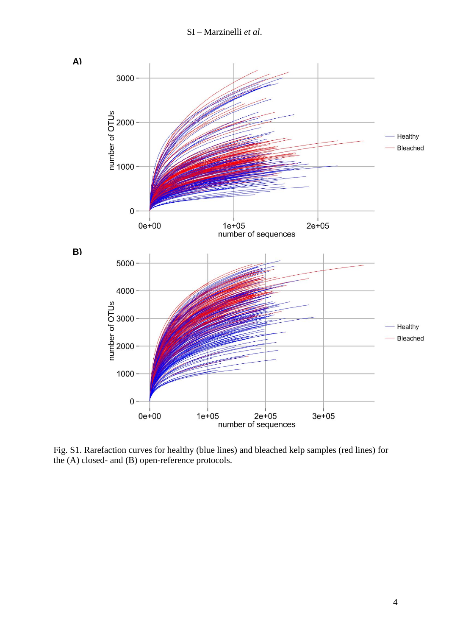

Fig. S1. Rarefaction curves for healthy (blue lines) and bleached kelp samples (red lines) for the (A) closed- and (B) open-reference protocols.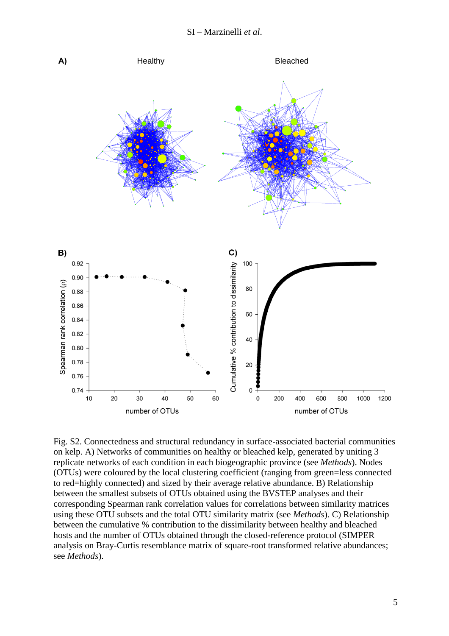

Fig. S2. Connectedness and structural redundancy in surface-associated bacterial communities on kelp. A) Networks of communities on healthy or bleached kelp, generated by uniting 3 replicate networks of each condition in each biogeographic province (see *Methods*). Nodes (OTUs) were coloured by the local clustering coefficient (ranging from green=less connected to red=highly connected) and sized by their average relative abundance. B) Relationship between the smallest subsets of OTUs obtained using the BVSTEP analyses and their corresponding Spearman rank correlation values for correlations between similarity matrices using these OTU subsets and the total OTU similarity matrix (see *Methods*). C) Relationship between the cumulative % contribution to the dissimilarity between healthy and bleached hosts and the number of OTUs obtained through the closed-reference protocol (SIMPER analysis on Bray-Curtis resemblance matrix of square-root transformed relative abundances; see *Methods*).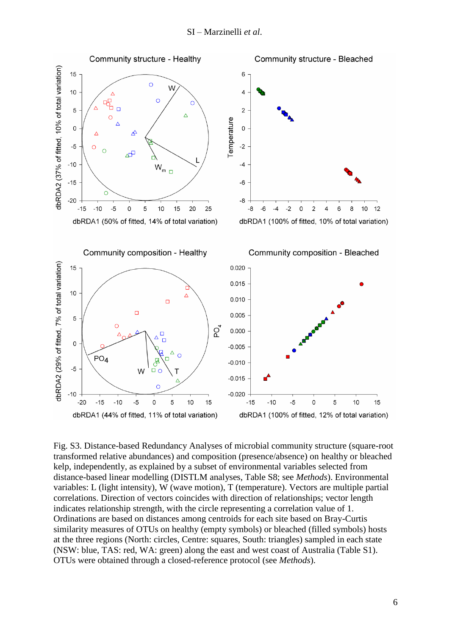

Fig. S3. Distance-based Redundancy Analyses of microbial community structure (square-root transformed relative abundances) and composition (presence/absence) on healthy or bleached kelp, independently, as explained by a subset of environmental variables selected from distance-based linear modelling (DISTLM analyses, Table S8; see *Methods*). Environmental variables: L (light intensity), W (wave motion), T (temperature). Vectors are multiple partial correlations. Direction of vectors coincides with direction of relationships; vector length indicates relationship strength, with the circle representing a correlation value of 1. Ordinations are based on distances among centroids for each site based on Bray-Curtis similarity measures of OTUs on healthy (empty symbols) or bleached (filled symbols) hosts at the three regions (North: circles, Centre: squares, South: triangles) sampled in each state (NSW: blue, TAS: red, WA: green) along the east and west coast of Australia (Table S1). OTUs were obtained through a closed-reference protocol (see *Methods*).